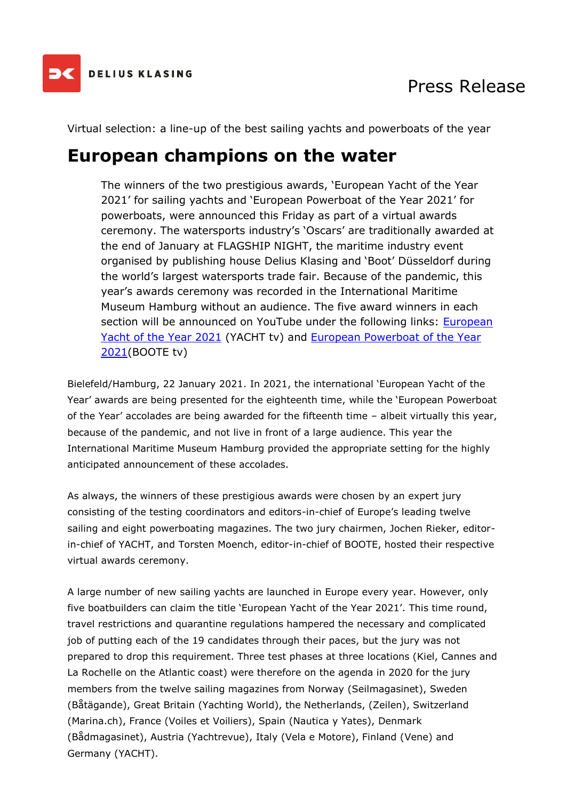

Virtual selection: a line-up of the best sailing yachts and powerboats of the year

### **European champions on the water**

The winners of the two prestigious awards, 'European Yacht of the Year 2021' for sailing yachts and 'European Powerboat of the Year 2021' for powerboats, were announced this Friday as part of a virtual awards ceremony. The watersports industry's 'Oscars' are traditionally awarded at the end of January at FLAGSHIP NIGHT, the maritime industry event organised by publishing house Delius Klasing and 'Boot' Düsseldorf during the world's largest watersports trade fair. Because of the pandemic, this year's awards ceremony was recorded in the International Maritime Museum Hamburg without an audience. The five award winners in each section will be announced on YouTube under the following links: [European](https://youtu.be/uLZD05ZDxpg)  [Yacht of the Year 2021](https://youtu.be/uLZD05ZDxpg) (YACHT tv) and European Powerboat of the Year [2021\(](https://youtu.be/OCCmLNi36x8)BOOTE tv)

Bielefeld/Hamburg, 22 January 2021. In 2021, the international 'European Yacht of the Year' awards are being presented for the eighteenth time, while the 'European Powerboat of the Year' accolades are being awarded for the fifteenth time – albeit virtually this year, because of the pandemic, and not live in front of a large audience. This year the International Maritime Museum Hamburg provided the appropriate setting for the highly anticipated announcement of these accolades.

As always, the winners of these prestigious awards were chosen by an expert jury consisting of the testing coordinators and editors-in-chief of Europe's leading twelve sailing and eight powerboating magazines. The two jury chairmen, Jochen Rieker, editorin-chief of YACHT, and Torsten Moench, editor-in-chief of BOOTE, hosted their respective virtual awards ceremony.

A large number of new sailing yachts are launched in Europe every year. However, only five boatbuilders can claim the title 'European Yacht of the Year 2021'. This time round, travel restrictions and quarantine regulations hampered the necessary and complicated job of putting each of the 19 candidates through their paces, but the jury was not prepared to drop this requirement. Three test phases at three locations (Kiel, Cannes and La Rochelle on the Atlantic coast) were therefore on the agenda in 2020 for the jury members from the twelve sailing magazines from Norway (Seilmagasinet), Sweden (Båtägande), Great Britain (Yachting World), the Netherlands, (Zeilen), Switzerland (Marina.ch), France (Voiles et Voiliers), Spain (Nautica y Yates), Denmark (Bådmagasinet), Austria (Yachtrevue), Italy (Vela e Motore), Finland (Vene) and Germany (YACHT).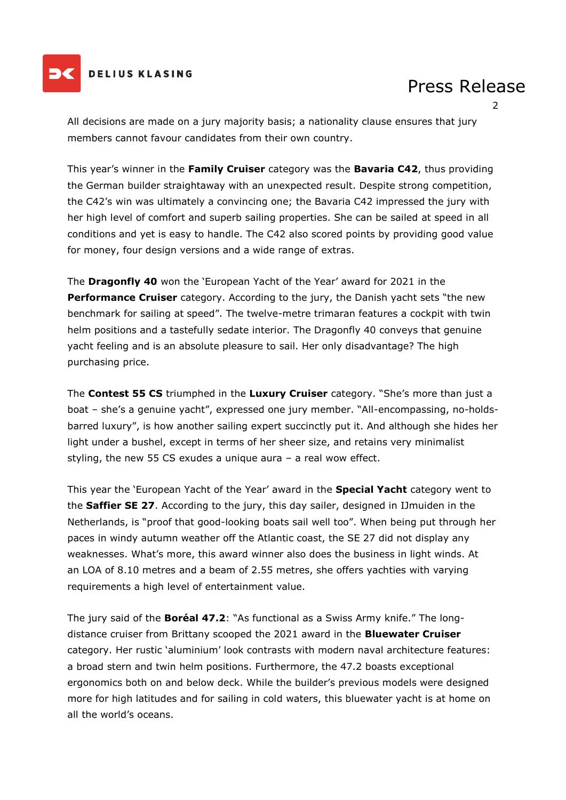

#### **DELIUS KLASING**

## Press Release

2

All decisions are made on a jury majority basis; a nationality clause ensures that jury members cannot favour candidates from their own country.

This year's winner in the **Family Cruiser** category was the **Bavaria C42**, thus providing the German builder straightaway with an unexpected result. Despite strong competition, the C42's win was ultimately a convincing one; the Bavaria C42 impressed the jury with her high level of comfort and superb sailing properties. She can be sailed at speed in all conditions and yet is easy to handle. The C42 also scored points by providing good value for money, four design versions and a wide range of extras.

The **Dragonfly 40** won the 'European Yacht of the Year' award for 2021 in the **Performance Cruiser** category. According to the jury, the Danish yacht sets "the new benchmark for sailing at speed". The twelve-metre trimaran features a cockpit with twin helm positions and a tastefully sedate interior. The Dragonfly 40 conveys that genuine yacht feeling and is an absolute pleasure to sail. Her only disadvantage? The high purchasing price.

The **Contest 55 CS** triumphed in the **Luxury Cruiser** category. "She's more than just a boat – she's a genuine yacht", expressed one jury member. "All-encompassing, no-holdsbarred luxury", is how another sailing expert succinctly put it. And although she hides her light under a bushel, except in terms of her sheer size, and retains very minimalist styling, the new 55 CS exudes a unique aura – a real wow effect.

This year the 'European Yacht of the Year' award in the **Special Yacht** category went to the **Saffier SE 27**. According to the jury, this day sailer, designed in IJmuiden in the Netherlands, is "proof that good-looking boats sail well too". When being put through her paces in windy autumn weather off the Atlantic coast, the SE 27 did not display any weaknesses. What's more, this award winner also does the business in light winds. At an LOA of 8.10 metres and a beam of 2.55 metres, she offers yachties with varying requirements a high level of entertainment value.

The jury said of the **Boréal 47.2**: "As functional as a Swiss Army knife." The longdistance cruiser from Brittany scooped the 2021 award in the **Bluewater Cruiser** category. Her rustic 'aluminium' look contrasts with modern naval architecture features: a broad stern and twin helm positions. Furthermore, the 47.2 boasts exceptional ergonomics both on and below deck. While the builder's previous models were designed more for high latitudes and for sailing in cold waters, this bluewater yacht is at home on all the world's oceans.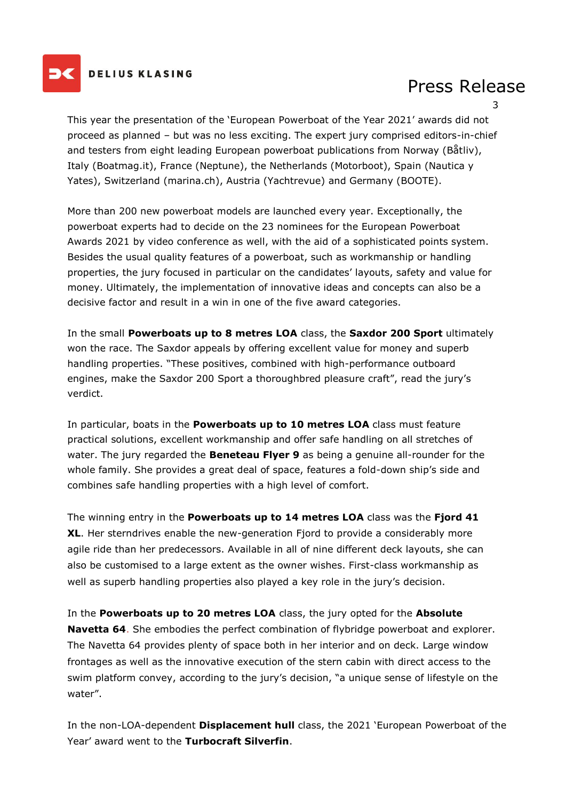

#### **DELIUS KLASING**

## Press Release

3

This year the presentation of the 'European Powerboat of the Year 2021' awards did not proceed as planned – but was no less exciting. The expert jury comprised editors-in-chief and testers from eight leading European powerboat publications from Norway (Båtliv), Italy (Boatmag.it), France (Neptune), the Netherlands (Motorboot), Spain (Nautica y Yates), Switzerland (marina.ch), Austria (Yachtrevue) and Germany (BOOTE).

More than 200 new powerboat models are launched every year. Exceptionally, the powerboat experts had to decide on the 23 nominees for the European Powerboat Awards 2021 by video conference as well, with the aid of a sophisticated points system. Besides the usual quality features of a powerboat, such as workmanship or handling properties, the jury focused in particular on the candidates' layouts, safety and value for money. Ultimately, the implementation of innovative ideas and concepts can also be a decisive factor and result in a win in one of the five award categories.

In the small **Powerboats up to 8 metres LOA** class, the **Saxdor 200 Sport** ultimately won the race. The Saxdor appeals by offering excellent value for money and superb handling properties. "These positives, combined with high-performance outboard engines, make the Saxdor 200 Sport a thoroughbred pleasure craft", read the jury's verdict.

In particular, boats in the **Powerboats up to 10 metres LOA** class must feature practical solutions, excellent workmanship and offer safe handling on all stretches of water. The jury regarded the **Beneteau Flyer 9** as being a genuine all-rounder for the whole family. She provides a great deal of space, features a fold-down ship's side and combines safe handling properties with a high level of comfort.

The winning entry in the **Powerboats up to 14 metres LOA** class was the **Fjord 41 XL**. Her sterndrives enable the new-generation Fjord to provide a considerably more agile ride than her predecessors. Available in all of nine different deck layouts, she can also be customised to a large extent as the owner wishes. First-class workmanship as well as superb handling properties also played a key role in the jury's decision.

In the **Powerboats up to 20 metres LOA** class, the jury opted for the **Absolute Navetta 64**. She embodies the perfect combination of flybridge powerboat and explorer. The Navetta 64 provides plenty of space both in her interior and on deck. Large window frontages as well as the innovative execution of the stern cabin with direct access to the swim platform convey, according to the jury's decision, "a unique sense of lifestyle on the water".

In the non-LOA-dependent **Displacement hull** class, the 2021 'European Powerboat of the Year' award went to the **Turbocraft Silverfin**.